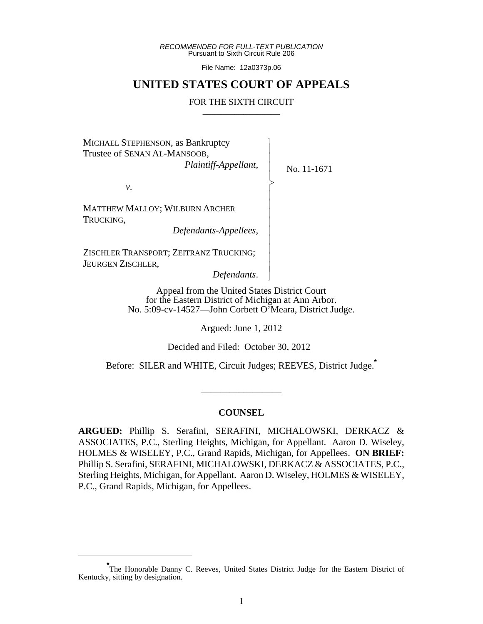*RECOMMENDED FOR FULL-TEXT PUBLICATION* Pursuant to Sixth Circuit Rule 206

File Name: 12a0373p.06

## **UNITED STATES COURT OF APPEALS**

#### FOR THE SIXTH CIRCUIT

 $\overline{\phantom{a}}$ - - - > , - - - - - - - - - N

No. 11-1671

MICHAEL STEPHENSON, as Bankruptcy Trustee of SENAN AL-MANSOOB, *Plaintiff-Appellant*,

*v*.

MATTHEW MALLOY; WILBURN ARCHER TRUCKING,

 *Defendants-Appellees*,

ZISCHLER TRANSPORT; ZEITRANZ TRUCKING; JEURGEN ZISCHLER,

*Defendants*.

Appeal from the United States District Court for the Eastern District of Michigan at Ann Arbor. No. 5:09-cv-14527—John Corbett O'Meara, District Judge.

Argued: June 1, 2012

Decided and Filed: October 30, 2012

Before: SILER and WHITE, Circuit Judges; REEVES, District Judge.**\***

\_\_\_\_\_\_\_\_\_\_\_\_\_\_\_\_\_

#### **COUNSEL**

**ARGUED:** Phillip S. Serafini, SERAFINI, MICHALOWSKI, DERKACZ & ASSOCIATES, P.C., Sterling Heights, Michigan, for Appellant. Aaron D. Wiseley, HOLMES & WISELEY, P.C., Grand Rapids, Michigan, for Appellees. **ON BRIEF:** Phillip S. Serafini, SERAFINI, MICHALOWSKI, DERKACZ & ASSOCIATES, P.C., Sterling Heights, Michigan, for Appellant. Aaron D. Wiseley, HOLMES & WISELEY, P.C., Grand Rapids, Michigan, for Appellees.

<sup>\*&</sup>lt;br>
The Honorable Danny C. Reeves, United States District Judge for the Eastern District of Kentucky, sitting by designation.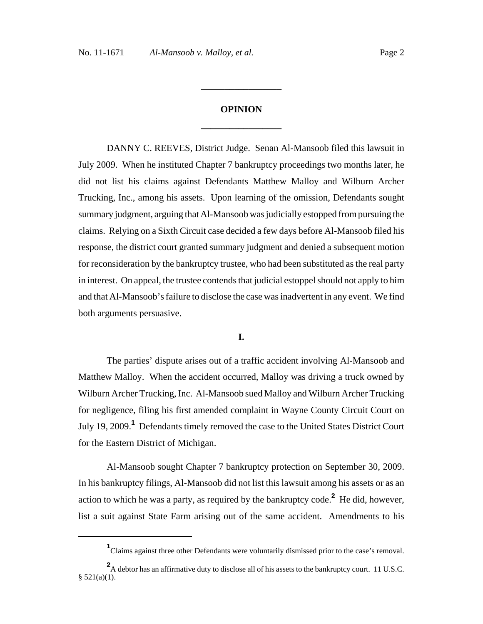# **OPINION \_\_\_\_\_\_\_\_\_\_\_\_\_\_\_\_\_**

**\_\_\_\_\_\_\_\_\_\_\_\_\_\_\_\_\_**

DANNY C. REEVES, District Judge. Senan Al-Mansoob filed this lawsuit in July 2009. When he instituted Chapter 7 bankruptcy proceedings two months later, he did not list his claims against Defendants Matthew Malloy and Wilburn Archer Trucking, Inc., among his assets. Upon learning of the omission, Defendants sought summary judgment, arguing that Al-Mansoob was judicially estopped from pursuing the claims. Relying on a Sixth Circuit case decided a few days before Al-Mansoob filed his response, the district court granted summary judgment and denied a subsequent motion for reconsideration by the bankruptcy trustee, who had been substituted as the real party in interest. On appeal, the trustee contends that judicial estoppel should not apply to him and that Al-Mansoob's failure to disclose the case was inadvertent in any event. We find both arguments persuasive.

#### **I.**

The parties' dispute arises out of a traffic accident involving Al-Mansoob and Matthew Malloy. When the accident occurred, Malloy was driving a truck owned by Wilburn Archer Trucking, Inc. Al-Mansoob sued Malloy and Wilburn Archer Trucking for negligence, filing his first amended complaint in Wayne County Circuit Court on July 19, 2009.**<sup>1</sup>** Defendants timely removed the case to the United States District Court for the Eastern District of Michigan.

Al-Mansoob sought Chapter 7 bankruptcy protection on September 30, 2009. In his bankruptcy filings, Al-Mansoob did not list this lawsuit among his assets or as an action to which he was a party, as required by the bankruptcy code.**<sup>2</sup>** He did, however, list a suit against State Farm arising out of the same accident. Amendments to his

<sup>&</sup>lt;sup>1</sup>Claims against three other Defendants were voluntarily dismissed prior to the case's removal.

<sup>&</sup>lt;sup>2</sup>A debtor has an affirmative duty to disclose all of his assets to the bankruptcy court. 11 U.S.C.  $§ 521(a)(1).$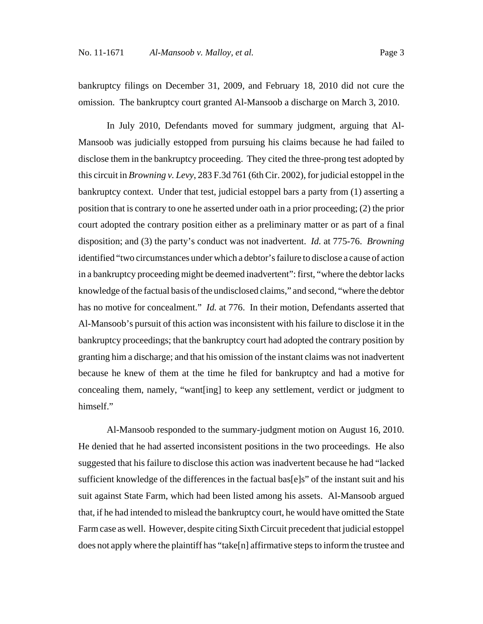bankruptcy filings on December 31, 2009, and February 18, 2010 did not cure the omission. The bankruptcy court granted Al-Mansoob a discharge on March 3, 2010.

In July 2010, Defendants moved for summary judgment, arguing that Al-Mansoob was judicially estopped from pursuing his claims because he had failed to disclose them in the bankruptcy proceeding. They cited the three-prong test adopted by this circuit in *Browning v. Levy*, 283 F.3d 761 (6th Cir. 2002), for judicial estoppel in the bankruptcy context. Under that test, judicial estoppel bars a party from (1) asserting a position that is contrary to one he asserted under oath in a prior proceeding; (2) the prior court adopted the contrary position either as a preliminary matter or as part of a final disposition; and (3) the party's conduct was not inadvertent. *Id.* at 775-76. *Browning* identified "two circumstances under which a debtor's failure to disclose a cause of action in a bankruptcy proceeding might be deemed inadvertent": first, "where the debtor lacks knowledge of the factual basis of the undisclosed claims," and second, "where the debtor has no motive for concealment." *Id.* at 776. In their motion, Defendants asserted that Al-Mansoob's pursuit of this action was inconsistent with his failure to disclose it in the bankruptcy proceedings; that the bankruptcy court had adopted the contrary position by granting him a discharge; and that his omission of the instant claims was not inadvertent because he knew of them at the time he filed for bankruptcy and had a motive for concealing them, namely, "want[ing] to keep any settlement, verdict or judgment to himself."

Al-Mansoob responded to the summary-judgment motion on August 16, 2010. He denied that he had asserted inconsistent positions in the two proceedings. He also suggested that his failure to disclose this action was inadvertent because he had "lacked sufficient knowledge of the differences in the factual bas $[e]s$ " of the instant suit and his suit against State Farm, which had been listed among his assets. Al-Mansoob argued that, if he had intended to mislead the bankruptcy court, he would have omitted the State Farm case as well. However, despite citing Sixth Circuit precedent that judicial estoppel does not apply where the plaintiff has "take[n] affirmative steps to inform the trustee and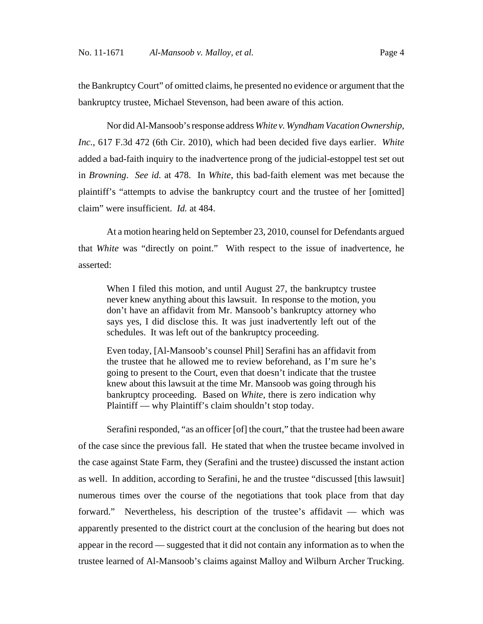the Bankruptcy Court" of omitted claims, he presented no evidence or argument that the bankruptcy trustee, Michael Stevenson, had been aware of this action.

Nor did Al-Mansoob's response address *White v. Wyndham Vacation Ownership, Inc.*, 617 F.3d 472 (6th Cir. 2010), which had been decided five days earlier. *White* added a bad-faith inquiry to the inadvertence prong of the judicial-estoppel test set out in *Browning*. *See id.* at 478. In *White*, this bad-faith element was met because the plaintiff's "attempts to advise the bankruptcy court and the trustee of her [omitted] claim" were insufficient. *Id.* at 484.

At a motion hearing held on September 23, 2010, counsel for Defendants argued that *White* was "directly on point." With respect to the issue of inadvertence, he asserted:

When I filed this motion, and until August 27, the bankruptcy trustee never knew anything about this lawsuit. In response to the motion, you don't have an affidavit from Mr. Mansoob's bankruptcy attorney who says yes, I did disclose this. It was just inadvertently left out of the schedules. It was left out of the bankruptcy proceeding.

Even today, [Al-Mansoob's counsel Phil] Serafini has an affidavit from the trustee that he allowed me to review beforehand, as I'm sure he's going to present to the Court, even that doesn't indicate that the trustee knew about this lawsuit at the time Mr. Mansoob was going through his bankruptcy proceeding. Based on *White*, there is zero indication why Plaintiff — why Plaintiff's claim shouldn't stop today.

Serafini responded, "as an officer [of] the court," that the trustee had been aware of the case since the previous fall. He stated that when the trustee became involved in the case against State Farm, they (Serafini and the trustee) discussed the instant action as well. In addition, according to Serafini, he and the trustee "discussed [this lawsuit] numerous times over the course of the negotiations that took place from that day forward." Nevertheless, his description of the trustee's affidavit — which was apparently presented to the district court at the conclusion of the hearing but does not appear in the record — suggested that it did not contain any information as to when the trustee learned of Al-Mansoob's claims against Malloy and Wilburn Archer Trucking.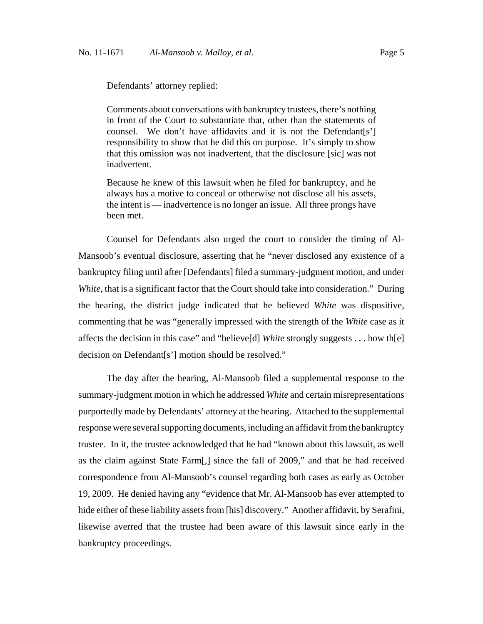Defendants' attorney replied:

Comments about conversations with bankruptcy trustees, there's nothing in front of the Court to substantiate that, other than the statements of counsel. We don't have affidavits and it is not the Defendant[s'] responsibility to show that he did this on purpose. It's simply to show that this omission was not inadvertent, that the disclosure [sic] was not inadvertent.

Because he knew of this lawsuit when he filed for bankruptcy, and he always has a motive to conceal or otherwise not disclose all his assets, the intent is — inadvertence is no longer an issue. All three prongs have been met.

Counsel for Defendants also urged the court to consider the timing of Al-Mansoob's eventual disclosure, asserting that he "never disclosed any existence of a bankruptcy filing until after [Defendants] filed a summary-judgment motion, and under *White*, that is a significant factor that the Court should take into consideration." During the hearing, the district judge indicated that he believed *White* was dispositive, commenting that he was "generally impressed with the strength of the *White* case as it affects the decision in this case" and "believe[d] *White* strongly suggests . . . how th[e] decision on Defendant[s'] motion should be resolved."

The day after the hearing, Al-Mansoob filed a supplemental response to the summary-judgment motion in which he addressed *White* and certain misrepresentations purportedly made by Defendants' attorney at the hearing. Attached to the supplemental response were several supporting documents, including an affidavit from the bankruptcy trustee. In it, the trustee acknowledged that he had "known about this lawsuit, as well as the claim against State Farm[,] since the fall of 2009," and that he had received correspondence from Al-Mansoob's counsel regarding both cases as early as October 19, 2009. He denied having any "evidence that Mr. Al-Mansoob has ever attempted to hide either of these liability assets from [his] discovery." Another affidavit, by Serafini, likewise averred that the trustee had been aware of this lawsuit since early in the bankruptcy proceedings.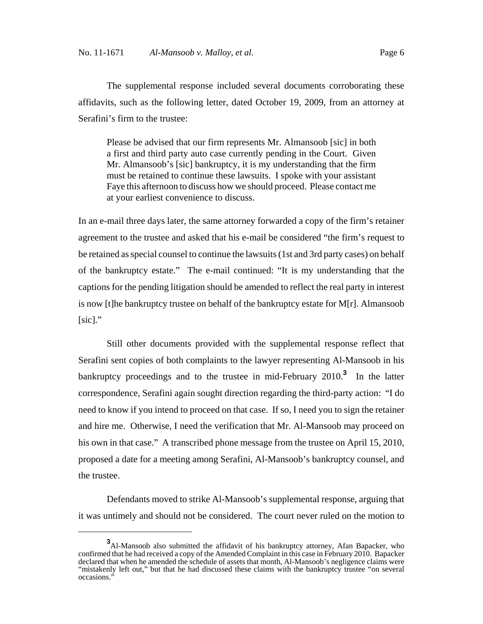The supplemental response included several documents corroborating these affidavits, such as the following letter, dated October 19, 2009, from an attorney at Serafini's firm to the trustee:

Please be advised that our firm represents Mr. Almansoob [sic] in both a first and third party auto case currently pending in the Court. Given Mr. Almansoob's [sic] bankruptcy, it is my understanding that the firm must be retained to continue these lawsuits. I spoke with your assistant Faye this afternoon to discuss how we should proceed. Please contact me at your earliest convenience to discuss.

In an e-mail three days later, the same attorney forwarded a copy of the firm's retainer agreement to the trustee and asked that his e-mail be considered "the firm's request to be retained as special counsel to continue the lawsuits (1st and 3rd party cases) on behalf of the bankruptcy estate." The e-mail continued: "It is my understanding that the captions for the pending litigation should be amended to reflect the real party in interest is now [t]he bankruptcy trustee on behalf of the bankruptcy estate for M[r]. Almansoob  $[sic]$ ."

Still other documents provided with the supplemental response reflect that Serafini sent copies of both complaints to the lawyer representing Al-Mansoob in his bankruptcy proceedings and to the trustee in mid-February 2010.**<sup>3</sup>** In the latter correspondence, Serafini again sought direction regarding the third-party action: "I do need to know if you intend to proceed on that case. If so, I need you to sign the retainer and hire me. Otherwise, I need the verification that Mr. Al-Mansoob may proceed on his own in that case." A transcribed phone message from the trustee on April 15, 2010, proposed a date for a meeting among Serafini, Al-Mansoob's bankruptcy counsel, and the trustee.

Defendants moved to strike Al-Mansoob's supplemental response, arguing that it was untimely and should not be considered. The court never ruled on the motion to

**<sup>3</sup>** Al-Mansoob also submitted the affidavit of his bankruptcy attorney, Afan Bapacker, who confirmed that he had received a copy of the Amended Complaint in this case in February 2010. Bapacker declared that when he amended the schedule of assets that month, Al-Mansoob's negligence claims were "mistakenly left out," but that he had discussed these claims with the bankruptcy trustee "on several occasions.'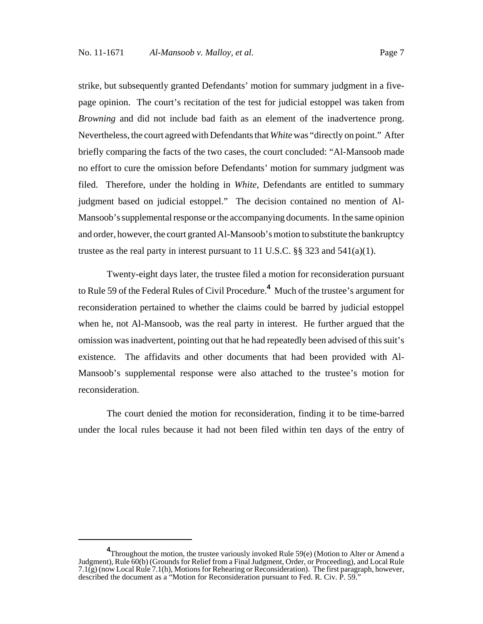strike, but subsequently granted Defendants' motion for summary judgment in a fivepage opinion. The court's recitation of the test for judicial estoppel was taken from *Browning* and did not include bad faith as an element of the inadvertence prong. Nevertheless, the court agreed with Defendants that *White* was "directly on point." After briefly comparing the facts of the two cases, the court concluded: "Al-Mansoob made no effort to cure the omission before Defendants' motion for summary judgment was filed. Therefore, under the holding in *White*, Defendants are entitled to summary judgment based on judicial estoppel." The decision contained no mention of Al-Mansoob's supplemental response or the accompanying documents. In the same opinion and order, however, the court granted Al-Mansoob's motion to substitute the bankruptcy trustee as the real party in interest pursuant to 11 U.S.C.  $\S$ § 323 and 541(a)(1).

Twenty-eight days later, the trustee filed a motion for reconsideration pursuant to Rule 59 of the Federal Rules of Civil Procedure.**<sup>4</sup>** Much of the trustee's argument for reconsideration pertained to whether the claims could be barred by judicial estoppel when he, not Al-Mansoob, was the real party in interest. He further argued that the omission was inadvertent, pointing out that he had repeatedly been advised of this suit's existence. The affidavits and other documents that had been provided with Al-Mansoob's supplemental response were also attached to the trustee's motion for reconsideration.

The court denied the motion for reconsideration, finding it to be time-barred under the local rules because it had not been filed within ten days of the entry of

**<sup>4</sup>** Throughout the motion, the trustee variously invoked Rule 59(e) (Motion to Alter or Amend a Judgment), Rule 60(b) (Grounds for Relief from a Final Judgment, Order, or Proceeding), and Local Rule 7.1(g) (now Local Rule 7.1(h), Motions for Rehearing or Reconsideration). The first paragraph, however, described the document as a "Motion for Reconsideration pursuant to Fed. R. Civ. P. 59."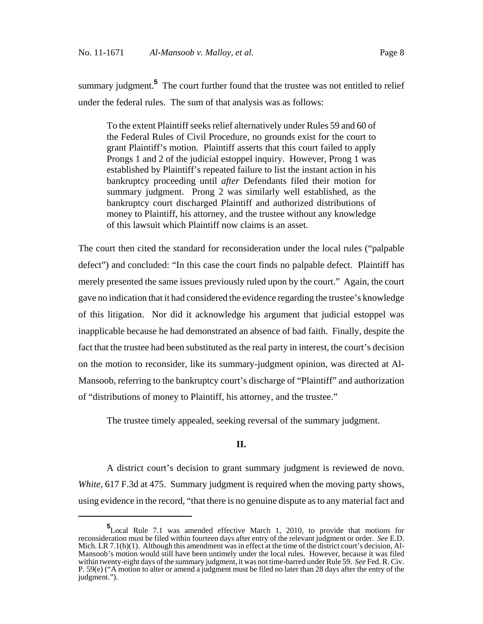summary judgment.<sup>5</sup> The court further found that the trustee was not entitled to relief under the federal rules. The sum of that analysis was as follows:

To the extent Plaintiff seeks relief alternatively under Rules 59 and 60 of the Federal Rules of Civil Procedure, no grounds exist for the court to grant Plaintiff's motion. Plaintiff asserts that this court failed to apply Prongs 1 and 2 of the judicial estoppel inquiry. However, Prong 1 was established by Plaintiff's repeated failure to list the instant action in his bankruptcy proceeding until *after* Defendants filed their motion for summary judgment. Prong 2 was similarly well established, as the bankruptcy court discharged Plaintiff and authorized distributions of money to Plaintiff, his attorney, and the trustee without any knowledge of this lawsuit which Plaintiff now claims is an asset.

The court then cited the standard for reconsideration under the local rules ("palpable defect") and concluded: "In this case the court finds no palpable defect. Plaintiff has merely presented the same issues previously ruled upon by the court." Again, the court gave no indication that it had considered the evidence regarding the trustee's knowledge of this litigation. Nor did it acknowledge his argument that judicial estoppel was inapplicable because he had demonstrated an absence of bad faith. Finally, despite the fact that the trustee had been substituted as the real party in interest, the court's decision on the motion to reconsider, like its summary-judgment opinion, was directed at Al-Mansoob, referring to the bankruptcy court's discharge of "Plaintiff" and authorization of "distributions of money to Plaintiff, his attorney, and the trustee."

The trustee timely appealed, seeking reversal of the summary judgment.

## **II.**

A district court's decision to grant summary judgment is reviewed de novo. *White*, 617 F.3d at 475. Summary judgment is required when the moving party shows, using evidence in the record, "that there is no genuine dispute as to any material fact and

**<sup>5</sup>** Local Rule 7.1 was amended effective March 1, 2010, to provide that motions for reconsideration must be filed within fourteen days after entry of the relevant judgment or order. *See* E.D. Mich. LR 7.1(h)(1). Although this amendment was in effect at the time of the district court's decision, Al-Mansoob's motion would still have been untimely under the local rules. However, because it was filed within twenty-eight days of the summary judgment, it was not time-barred under Rule 59. *See* Fed. R. Civ. P. 59(e) ("A motion to alter or amend a judgment must be filed no later than 28 days after the entry of the judgment.").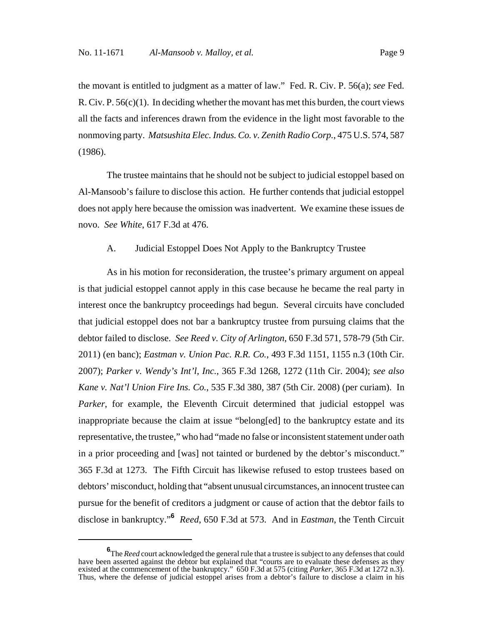the movant is entitled to judgment as a matter of law." Fed. R. Civ. P. 56(a); *see* Fed. R. Civ. P.  $56(c)(1)$ . In deciding whether the movant has met this burden, the court views all the facts and inferences drawn from the evidence in the light most favorable to the nonmoving party. *Matsushita Elec. Indus. Co. v. Zenith Radio Corp.*, 475 U.S. 574, 587 (1986).

The trustee maintains that he should not be subject to judicial estoppel based on Al-Mansoob's failure to disclose this action. He further contends that judicial estoppel does not apply here because the omission was inadvertent. We examine these issues de novo. *See White*, 617 F.3d at 476.

### A. Judicial Estoppel Does Not Apply to the Bankruptcy Trustee

As in his motion for reconsideration, the trustee's primary argument on appeal is that judicial estoppel cannot apply in this case because he became the real party in interest once the bankruptcy proceedings had begun. Several circuits have concluded that judicial estoppel does not bar a bankruptcy trustee from pursuing claims that the debtor failed to disclose. *See Reed v. City of Arlington*, 650 F.3d 571, 578-79 (5th Cir. 2011) (en banc); *Eastman v. Union Pac. R.R. Co.*, 493 F.3d 1151, 1155 n.3 (10th Cir. 2007); *Parker v. Wendy's Int'l, Inc.*, 365 F.3d 1268, 1272 (11th Cir. 2004); *see also Kane v. Nat'l Union Fire Ins. Co.*, 535 F.3d 380, 387 (5th Cir. 2008) (per curiam). In *Parker*, for example, the Eleventh Circuit determined that judicial estoppel was inappropriate because the claim at issue "belong[ed] to the bankruptcy estate and its representative, the trustee," who had "made no false or inconsistent statement under oath in a prior proceeding and [was] not tainted or burdened by the debtor's misconduct." 365 F.3d at 1273. The Fifth Circuit has likewise refused to estop trustees based on debtors' misconduct, holding that "absent unusual circumstances, an innocent trustee can pursue for the benefit of creditors a judgment or cause of action that the debtor fails to disclose in bankruptcy."**<sup>6</sup>** *Reed*, 650 F.3d at 573. And in *Eastman*, the Tenth Circuit

**<sup>6</sup>** The *Reed* court acknowledged the general rule that a trustee is subject to any defenses that could have been asserted against the debtor but explained that "courts are to evaluate these defenses as they existed at the commencement of the bankruptcy." 650 F.3d at 575 (citing *Parker*, 365 F.3d at 1272 n.3). Thus, where the defense of judicial estoppel arises from a debtor's failure to disclose a claim in his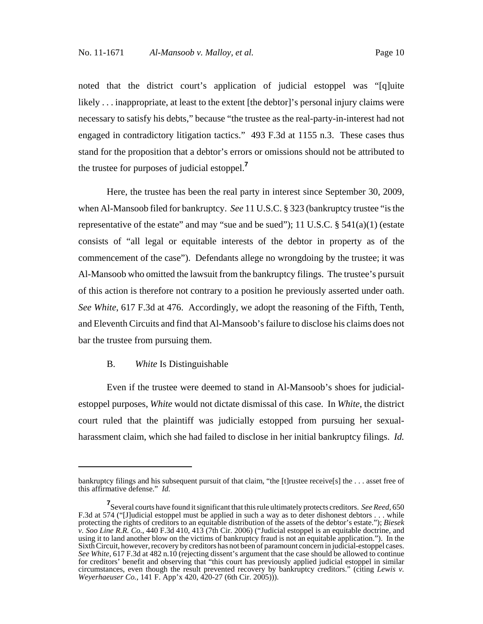noted that the district court's application of judicial estoppel was "[q]uite likely . . . inappropriate, at least to the extent [the debtor]'s personal injury claims were necessary to satisfy his debts," because "the trustee as the real-party-in-interest had not engaged in contradictory litigation tactics." 493 F.3d at 1155 n.3. These cases thus stand for the proposition that a debtor's errors or omissions should not be attributed to the trustee for purposes of judicial estoppel.**<sup>7</sup>**

Here, the trustee has been the real party in interest since September 30, 2009, when Al-Mansoob filed for bankruptcy. *See* 11 U.S.C. § 323 (bankruptcy trustee "is the representative of the estate" and may "sue and be sued"); 11 U.S.C.  $\S$  541(a)(1) (estate consists of "all legal or equitable interests of the debtor in property as of the commencement of the case"). Defendants allege no wrongdoing by the trustee; it was Al-Mansoob who omitted the lawsuit from the bankruptcy filings. The trustee's pursuit of this action is therefore not contrary to a position he previously asserted under oath. *See White*, 617 F.3d at 476. Accordingly, we adopt the reasoning of the Fifth, Tenth, and Eleventh Circuits and find that Al-Mansoob's failure to disclose his claims does not bar the trustee from pursuing them.

#### B. *White* Is Distinguishable

Even if the trustee were deemed to stand in Al-Mansoob's shoes for judicialestoppel purposes, *White* would not dictate dismissal of this case. In *White*, the district court ruled that the plaintiff was judicially estopped from pursuing her sexualharassment claim, which she had failed to disclose in her initial bankruptcy filings. *Id.*

bankruptcy filings and his subsequent pursuit of that claim, "the [t]rustee receive[s] the . . . asset free of this affirmative defense." *Id.*

**<sup>7</sup>** Several courts have found it significant that this rule ultimately protects creditors. *See Reed*, 650 F.3d at 574 ("[J]udicial estoppel must be applied in such a way as to deter dishonest debtors . . . while protecting the rights of creditors to an equitable distribution of the assets of the debtor's estate."); *Biesek v. Soo Line R.R. Co.*, 440 F.3d 410, 413 (7th Cir. 2006) ("Judicial estoppel is an equitable doctrine, and using it to land another blow on the victims of bankruptcy fraud is not an equitable application."). In the Sixth Circuit, however, recovery by creditors has not been of paramount concern in judicial-estoppel cases. *See White*, 617 F.3d at 482 n.10 (rejecting dissent's argument that the case should be allowed to continue for creditors' benefit and observing that "this court has previously applied judicial estoppel in similar circumstances, even though the result prevented recovery by bankruptcy creditors." (citing *Lewis v. Weyerhaeuser Co.*, 141 F. App'x 420, 420-27 (6th Cir. 2005))).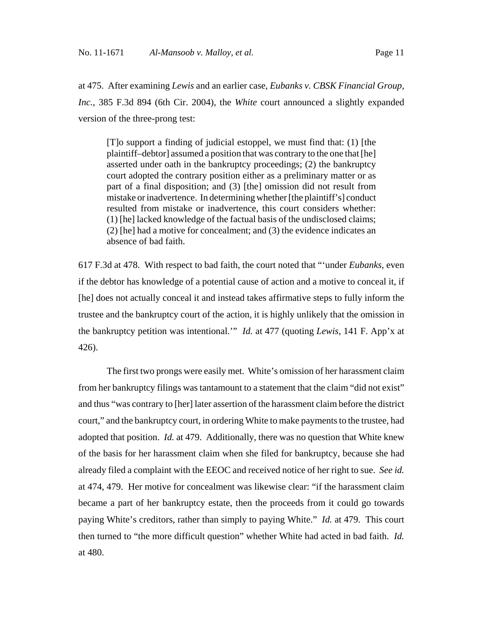at 475. After examining *Lewis* and an earlier case, *Eubanks v. CBSK Financial Group, Inc.*, 385 F.3d 894 (6th Cir. 2004), the *White* court announced a slightly expanded version of the three-prong test:

[T]o support a finding of judicial estoppel, we must find that: (1) [the plaintiff–debtor] assumed a position that was contrary to the one that [he] asserted under oath in the bankruptcy proceedings; (2) the bankruptcy court adopted the contrary position either as a preliminary matter or as part of a final disposition; and (3) [the] omission did not result from mistake or inadvertence. In determining whether [the plaintiff's] conduct resulted from mistake or inadvertence, this court considers whether: (1) [he] lacked knowledge of the factual basis of the undisclosed claims; (2) [he] had a motive for concealment; and (3) the evidence indicates an absence of bad faith.

617 F.3d at 478. With respect to bad faith, the court noted that "'under *Eubanks*, even if the debtor has knowledge of a potential cause of action and a motive to conceal it, if [he] does not actually conceal it and instead takes affirmative steps to fully inform the trustee and the bankruptcy court of the action, it is highly unlikely that the omission in the bankruptcy petition was intentional.'" *Id.* at 477 (quoting *Lewis*, 141 F. App'x at 426).

The first two prongs were easily met. White's omission of her harassment claim from her bankruptcy filings was tantamount to a statement that the claim "did not exist" and thus "was contrary to [her] later assertion of the harassment claim before the district court," and the bankruptcy court, in ordering White to make payments to the trustee, had adopted that position. *Id.* at 479. Additionally, there was no question that White knew of the basis for her harassment claim when she filed for bankruptcy, because she had already filed a complaint with the EEOC and received notice of her right to sue. *See id.* at 474, 479. Her motive for concealment was likewise clear: "if the harassment claim became a part of her bankruptcy estate, then the proceeds from it could go towards paying White's creditors, rather than simply to paying White." *Id.* at 479. This court then turned to "the more difficult question" whether White had acted in bad faith. *Id.* at 480.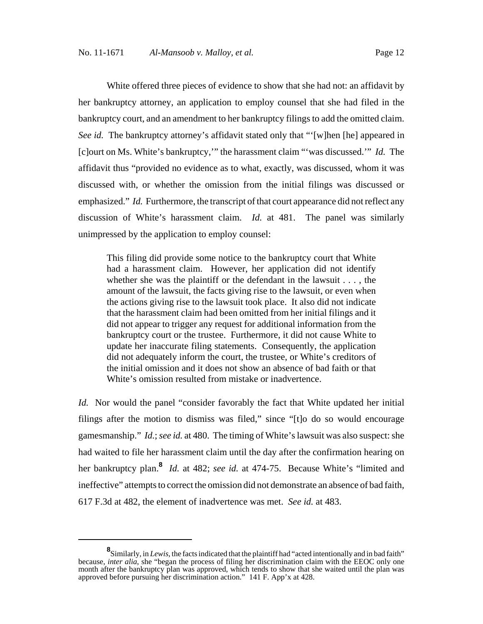White offered three pieces of evidence to show that she had not: an affidavit by her bankruptcy attorney, an application to employ counsel that she had filed in the bankruptcy court, and an amendment to her bankruptcy filings to add the omitted claim. *See id.* The bankruptcy attorney's affidavit stated only that "'[w]hen [he] appeared in [c]ourt on Ms. White's bankruptcy,'" the harassment claim "'was discussed.'" *Id.* The affidavit thus "provided no evidence as to what, exactly, was discussed, whom it was discussed with, or whether the omission from the initial filings was discussed or emphasized." *Id.* Furthermore, the transcript of that court appearance did not reflect any discussion of White's harassment claim. *Id.* at 481. The panel was similarly unimpressed by the application to employ counsel:

This filing did provide some notice to the bankruptcy court that White had a harassment claim. However, her application did not identify whether she was the plaintiff or the defendant in the lawsuit . . . , the amount of the lawsuit, the facts giving rise to the lawsuit, or even when the actions giving rise to the lawsuit took place. It also did not indicate that the harassment claim had been omitted from her initial filings and it did not appear to trigger any request for additional information from the bankruptcy court or the trustee. Furthermore, it did not cause White to update her inaccurate filing statements. Consequently, the application did not adequately inform the court, the trustee, or White's creditors of the initial omission and it does not show an absence of bad faith or that White's omission resulted from mistake or inadvertence.

*Id.* Nor would the panel "consider favorably the fact that White updated her initial filings after the motion to dismiss was filed," since "[t]o do so would encourage gamesmanship." *Id.*; *see id.* at 480. The timing of White's lawsuit was also suspect: she had waited to file her harassment claim until the day after the confirmation hearing on her bankruptcy plan.**<sup>8</sup>** *Id.* at 482; *see id.* at 474-75. Because White's "limited and ineffective" attempts to correct the omission did not demonstrate an absence of bad faith, 617 F.3d at 482, the element of inadvertence was met. *See id.* at 483.

**<sup>8</sup>** Similarly, in *Lewis*, the facts indicated that the plaintiff had "acted intentionally and in bad faith" because, *inter alia*, she "began the process of filing her discrimination claim with the EEOC only one month after the bankruptcy plan was approved, which tends to show that she waited until the plan was approved before pursuing her discrimination action." 141 F. App'x at 428.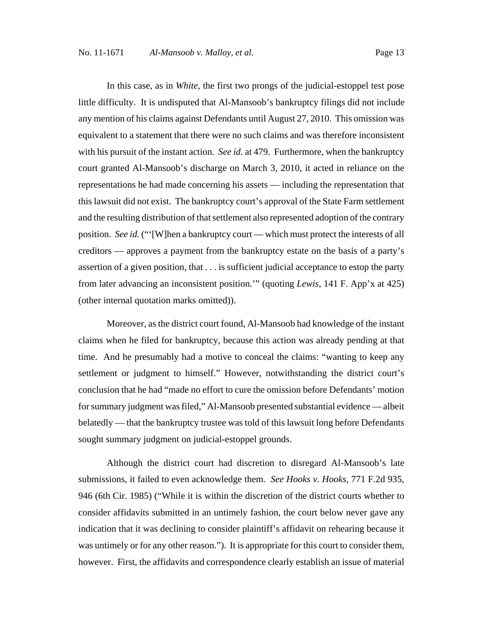In this case, as in *White*, the first two prongs of the judicial-estoppel test pose little difficulty. It is undisputed that Al-Mansoob's bankruptcy filings did not include any mention of his claims against Defendants until August 27, 2010. This omission was equivalent to a statement that there were no such claims and was therefore inconsistent with his pursuit of the instant action. *See id.* at 479. Furthermore, when the bankruptcy court granted Al-Mansoob's discharge on March 3, 2010, it acted in reliance on the representations he had made concerning his assets — including the representation that this lawsuit did not exist. The bankruptcy court's approval of the State Farm settlement and the resulting distribution of that settlement also represented adoption of the contrary position. *See id.* ("'[W]hen a bankruptcy court — which must protect the interests of all creditors — approves a payment from the bankruptcy estate on the basis of a party's assertion of a given position, that . . . is sufficient judicial acceptance to estop the party from later advancing an inconsistent position.'" (quoting *Lewis*, 141 F. App'x at 425) (other internal quotation marks omitted)).

Moreover, as the district court found, Al-Mansoob had knowledge of the instant claims when he filed for bankruptcy, because this action was already pending at that time. And he presumably had a motive to conceal the claims: "wanting to keep any settlement or judgment to himself." However, notwithstanding the district court's conclusion that he had "made no effort to cure the omission before Defendants' motion for summary judgment was filed," Al-Mansoob presented substantial evidence — albeit belatedly — that the bankruptcy trustee was told of this lawsuit long before Defendants sought summary judgment on judicial-estoppel grounds.

Although the district court had discretion to disregard Al-Mansoob's late submissions, it failed to even acknowledge them. *See Hooks v. Hooks*, 771 F.2d 935, 946 (6th Cir. 1985) ("While it is within the discretion of the district courts whether to consider affidavits submitted in an untimely fashion, the court below never gave any indication that it was declining to consider plaintiff's affidavit on rehearing because it was untimely or for any other reason."). It is appropriate for this court to consider them, however. First, the affidavits and correspondence clearly establish an issue of material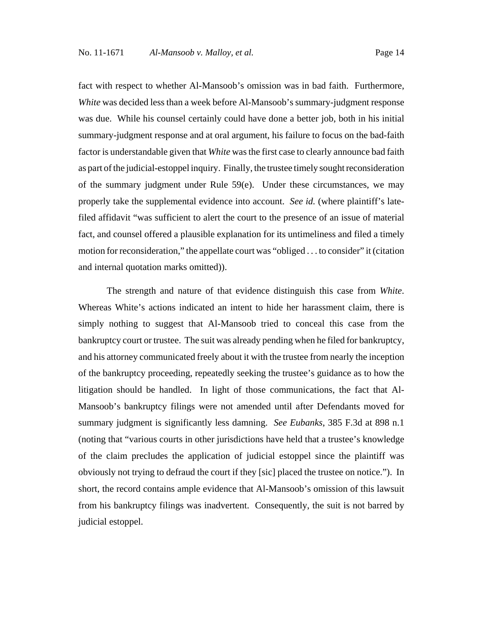fact with respect to whether Al-Mansoob's omission was in bad faith. Furthermore, *White* was decided less than a week before Al-Mansoob's summary-judgment response was due. While his counsel certainly could have done a better job, both in his initial summary-judgment response and at oral argument, his failure to focus on the bad-faith factor is understandable given that *White* was the first case to clearly announce bad faith as part of the judicial-estoppel inquiry. Finally, the trustee timely sought reconsideration of the summary judgment under Rule 59(e). Under these circumstances, we may properly take the supplemental evidence into account. *See id.* (where plaintiff's latefiled affidavit "was sufficient to alert the court to the presence of an issue of material fact, and counsel offered a plausible explanation for its untimeliness and filed a timely motion for reconsideration," the appellate court was "obliged . . . to consider" it (citation and internal quotation marks omitted)).

The strength and nature of that evidence distinguish this case from *White*. Whereas White's actions indicated an intent to hide her harassment claim, there is simply nothing to suggest that Al-Mansoob tried to conceal this case from the bankruptcy court or trustee. The suit was already pending when he filed for bankruptcy, and his attorney communicated freely about it with the trustee from nearly the inception of the bankruptcy proceeding, repeatedly seeking the trustee's guidance as to how the litigation should be handled. In light of those communications, the fact that Al-Mansoob's bankruptcy filings were not amended until after Defendants moved for summary judgment is significantly less damning. *See Eubanks*, 385 F.3d at 898 n.1 (noting that "various courts in other jurisdictions have held that a trustee's knowledge of the claim precludes the application of judicial estoppel since the plaintiff was obviously not trying to defraud the court if they [sic] placed the trustee on notice."). In short, the record contains ample evidence that Al-Mansoob's omission of this lawsuit from his bankruptcy filings was inadvertent. Consequently, the suit is not barred by judicial estoppel.